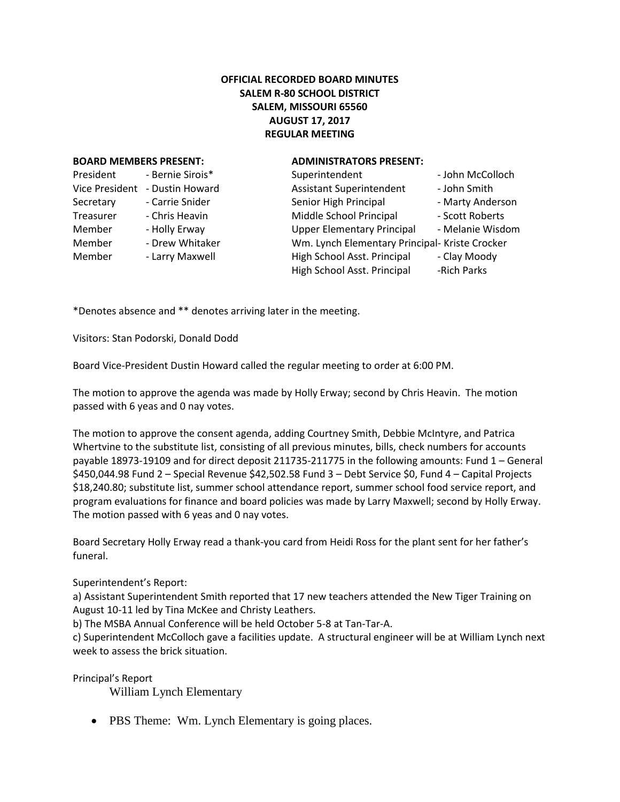# **OFFICIAL RECORDED BOARD MINUTES SALEM R-80 SCHOOL DISTRICT SALEM, MISSOURI 65560 AUGUST 17, 2017 REGULAR MEETING**

### **BOARD MEMBERS PRESENT: ADMINISTRATORS PRESENT:**

| President             | - Bernie Sirois* |  |
|-----------------------|------------------|--|
| <b>Vice President</b> | - Dustin Howard  |  |
| Secretary             | - Carrie Snider  |  |
| Treasurer             | - Chris Heavin   |  |
| Member                | - Holly Erway    |  |
| Member                | - Drew Whitaker  |  |
| Member                | - Larry Maxwell  |  |
|                       |                  |  |

| President      | - Bernie Sirois* | Superintendent                                 | - John McColloch |
|----------------|------------------|------------------------------------------------|------------------|
| Vice President | - Dustin Howard  | <b>Assistant Superintendent</b>                | - John Smith     |
| Secretary      | - Carrie Snider  | Senior High Principal                          | - Marty Anderson |
| Treasurer      | - Chris Heavin   | Middle School Principal                        | - Scott Roberts  |
| Member         | - Holly Erway    | <b>Upper Elementary Principal</b>              | - Melanie Wisdom |
| Member         | - Drew Whitaker  | Wm. Lynch Elementary Principal- Kriste Crocker |                  |
| Member         | - Larry Maxwell  | High School Asst. Principal                    | - Clay Moody     |
|                |                  | High School Asst. Principal                    | -Rich Parks      |
|                |                  |                                                |                  |

\*Denotes absence and \*\* denotes arriving later in the meeting.

Visitors: Stan Podorski, Donald Dodd

Board Vice-President Dustin Howard called the regular meeting to order at 6:00 PM.

The motion to approve the agenda was made by Holly Erway; second by Chris Heavin. The motion passed with 6 yeas and 0 nay votes.

The motion to approve the consent agenda, adding Courtney Smith, Debbie McIntyre, and Patrica Whertvine to the substitute list, consisting of all previous minutes, bills, check numbers for accounts payable 18973-19109 and for direct deposit 211735-211775 in the following amounts: Fund 1 – General \$450,044.98 Fund 2 – Special Revenue \$42,502.58 Fund 3 – Debt Service \$0, Fund 4 – Capital Projects \$18,240.80; substitute list, summer school attendance report, summer school food service report, and program evaluations for finance and board policies was made by Larry Maxwell; second by Holly Erway. The motion passed with 6 yeas and 0 nay votes.

Board Secretary Holly Erway read a thank-you card from Heidi Ross for the plant sent for her father's funeral.

Superintendent's Report:

a) Assistant Superintendent Smith reported that 17 new teachers attended the New Tiger Training on August 10-11 led by Tina McKee and Christy Leathers.

b) The MSBA Annual Conference will be held October 5-8 at Tan-Tar-A.

c) Superintendent McColloch gave a facilities update. A structural engineer will be at William Lynch next week to assess the brick situation.

Principal's Report

William Lynch Elementary

• PBS Theme: Wm. Lynch Elementary is going places.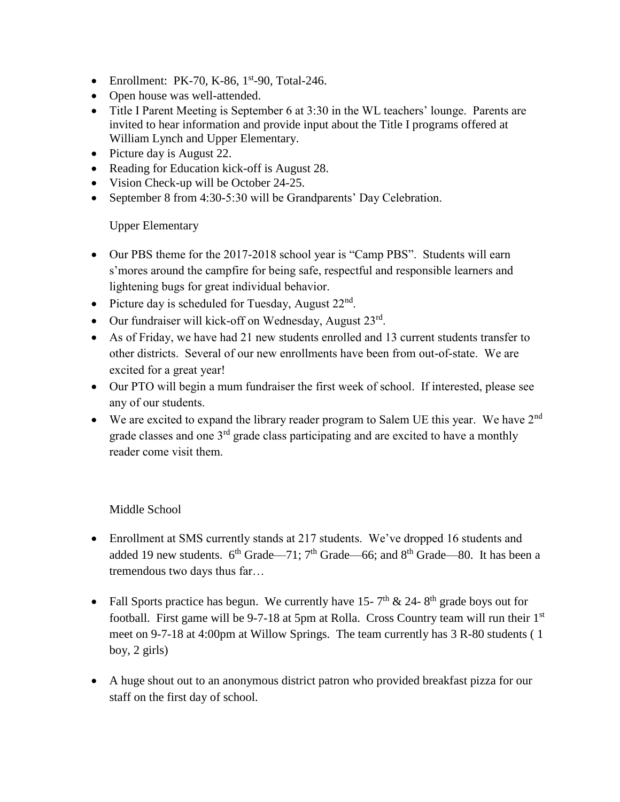- Enrollment: PK-70, K-86,  $1<sup>st</sup>$ -90, Total-246.
- Open house was well-attended.
- Title I Parent Meeting is September 6 at 3:30 in the WL teachers' lounge. Parents are invited to hear information and provide input about the Title I programs offered at William Lynch and Upper Elementary.
- Picture day is August 22.
- Reading for Education kick-off is August 28.
- Vision Check-up will be October 24-25.
- September 8 from 4:30-5:30 will be Grandparents' Day Celebration.

Upper Elementary

- Our PBS theme for the 2017-2018 school year is "Camp PBS". Students will earn s'mores around the campfire for being safe, respectful and responsible learners and lightening bugs for great individual behavior.
- Picture day is scheduled for Tuesday, August  $22<sup>nd</sup>$ .
- $\bullet$  Our fundraiser will kick-off on Wednesday, August  $23^{\text{rd}}$ .
- As of Friday, we have had 21 new students enrolled and 13 current students transfer to other districts. Several of our new enrollments have been from out-of-state. We are excited for a great year!
- Our PTO will begin a mum fundraiser the first week of school. If interested, please see any of our students.
- We are excited to expand the library reader program to Salem UE this year. We have  $2<sup>nd</sup>$ grade classes and one  $3<sup>rd</sup>$  grade class participating and are excited to have a monthly reader come visit them.

Middle School

- Enrollment at SMS currently stands at 217 students. We've dropped 16 students and added 19 new students.  $6^{th}$  Grade—71;  $7^{th}$  Grade—66; and  $8^{th}$  Grade—80. It has been a tremendous two days thus far…
- Fall Sports practice has begun. We currently have 15-7<sup>th</sup> & 24-8<sup>th</sup> grade boys out for football. First game will be 9-7-18 at 5pm at Rolla. Cross Country team will run their 1<sup>st</sup> meet on 9-7-18 at 4:00pm at Willow Springs. The team currently has 3 R-80 students ( 1 boy, 2 girls)
- A huge shout out to an anonymous district patron who provided breakfast pizza for our staff on the first day of school.